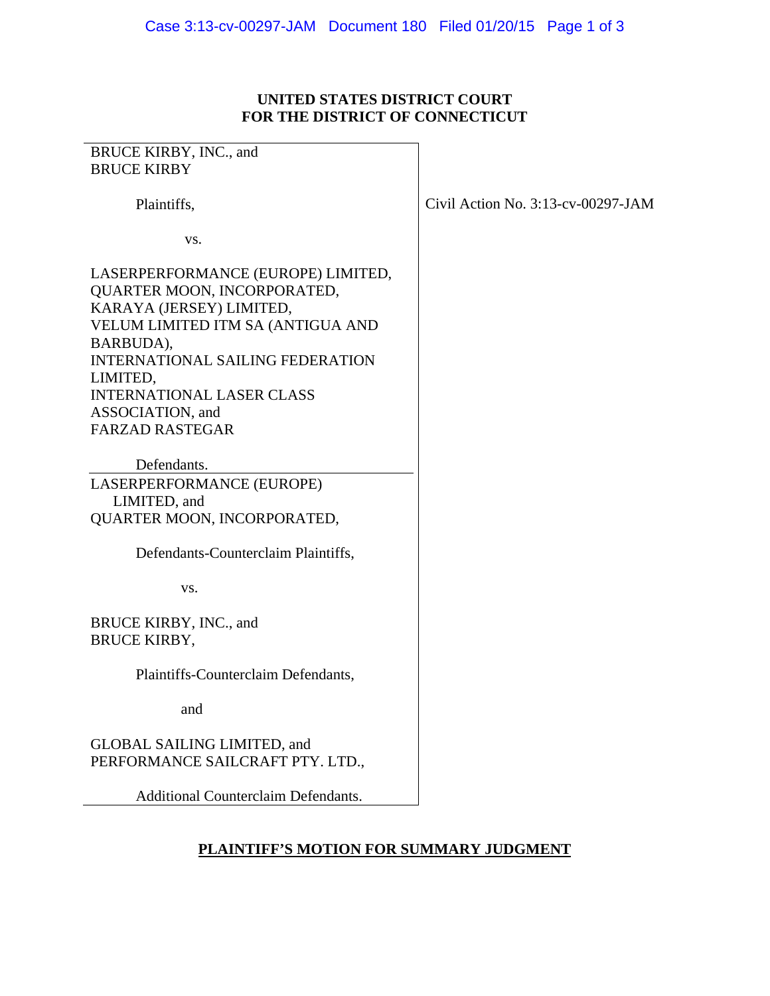## **UNITED STATES DISTRICT COURT FOR THE DISTRICT OF CONNECTICUT**

| BRUCE KIRBY, INC., and                                                                                                                                                                                                                                                                   |                                       |
|------------------------------------------------------------------------------------------------------------------------------------------------------------------------------------------------------------------------------------------------------------------------------------------|---------------------------------------|
| <b>BRUCE KIRBY</b>                                                                                                                                                                                                                                                                       |                                       |
| Plaintiffs,                                                                                                                                                                                                                                                                              | Civil Action No. $3:13$ -cv-00297-JAM |
| VS.                                                                                                                                                                                                                                                                                      |                                       |
| LASERPERFORMANCE (EUROPE) LIMITED,<br>QUARTER MOON, INCORPORATED,<br>KARAYA (JERSEY) LIMITED,<br>VELUM LIMITED ITM SA (ANTIGUA AND<br>BARBUDA),<br><b>INTERNATIONAL SAILING FEDERATION</b><br>LIMITED,<br><b>INTERNATIONAL LASER CLASS</b><br>ASSOCIATION, and<br><b>FARZAD RASTEGAR</b> |                                       |
| Defendants.<br>LASERPERFORMANCE (EUROPE)<br>LIMITED, and<br>QUARTER MOON, INCORPORATED,<br>Defendants-Counterclaim Plaintiffs,                                                                                                                                                           |                                       |
| VS.                                                                                                                                                                                                                                                                                      |                                       |
| BRUCE KIRBY, INC., and<br><b>BRUCE KIRBY,</b>                                                                                                                                                                                                                                            |                                       |
| Plaintiffs-Counterclaim Defendants,                                                                                                                                                                                                                                                      |                                       |
| and                                                                                                                                                                                                                                                                                      |                                       |
| <b>GLOBAL SAILING LIMITED, and</b><br>PERFORMANCE SAILCRAFT PTY. LTD.,                                                                                                                                                                                                                   |                                       |
| <b>Additional Counterclaim Defendants.</b>                                                                                                                                                                                                                                               |                                       |

## **PLAINTIFF'S MOTION FOR SUMMARY JUDGMENT**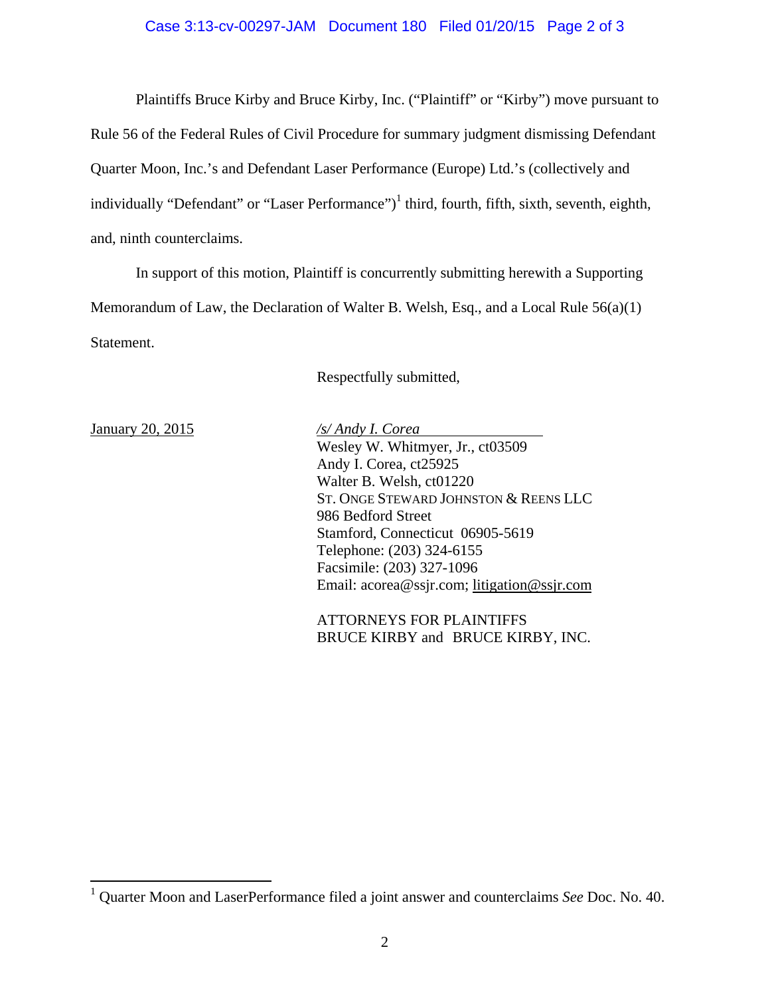## Case 3:13-cv-00297-JAM Document 180 Filed 01/20/15 Page 2 of 3

Plaintiffs Bruce Kirby and Bruce Kirby, Inc. ("Plaintiff" or "Kirby") move pursuant to Rule 56 of the Federal Rules of Civil Procedure for summary judgment dismissing Defendant Quarter Moon, Inc.'s and Defendant Laser Performance (Europe) Ltd.'s (collectively and individually "Defendant" or "Laser Performance")<sup>1</sup> third, fourth, fifth, sixth, seventh, eighth, and, ninth counterclaims.

In support of this motion, Plaintiff is concurrently submitting herewith a Supporting Memorandum of Law, the Declaration of Walter B. Welsh, Esq., and a Local Rule 56(a)(1) Statement.

Respectfully submitted,

January 20, 2015 */s/ Andy I. Corea*  Wesley W. Whitmyer, Jr., ct03509 Andy I. Corea, ct25925 Walter B. Welsh, ct01220 ST. ONGE STEWARD JOHNSTON & REENS LLC 986 Bedford Street Stamford, Connecticut 06905-5619 Telephone: (203) 324-6155 Facsimile: (203) 327-1096 Email: acorea@ssjr.com; litigation@ssjr.com

> ATTORNEYS FOR PLAINTIFFS BRUCE KIRBY and BRUCE KIRBY, INC.

 1 Quarter Moon and LaserPerformance filed a joint answer and counterclaims *See* Doc. No. 40.